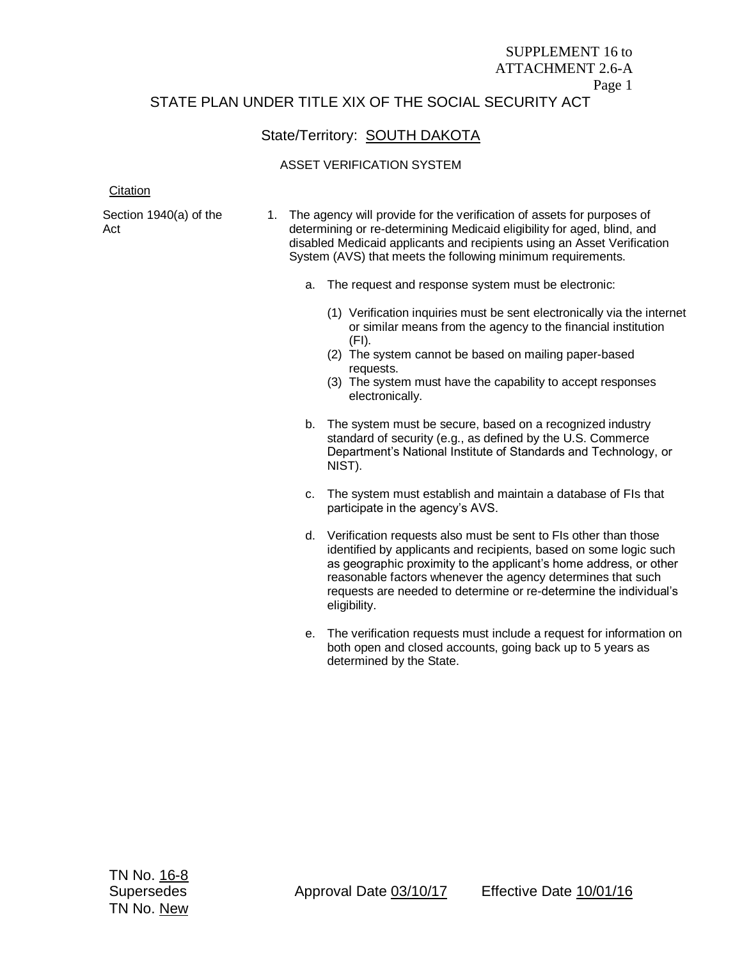## SUPPLEMENT 16 to ATTACHMENT 2.6-A Page 1 STATE PLAN UNDER TITLE XIX OF THE SOCIAL SECURITY ACT

# State/Territory: **SOUTH DAKOTA**

## ASSET VERIFICATION SYSTEM

#### **Citation**

Section 1940(a) of the Act

- 1. The agency will provide for the verification of assets for purposes of determining or re-determining Medicaid eligibility for aged, blind, and disabled Medicaid applicants and recipients using an Asset Verification System (AVS) that meets the following minimum requirements.
	- a. The request and response system must be electronic:
		- (1) Verification inquiries must be sent electronically via the internet or similar means from the agency to the financial institution (FI).
		- (2) The system cannot be based on mailing paper-based requests.
		- (3) The system must have the capability to accept responses electronically.
	- b. The system must be secure, based on a recognized industry standard of security (e.g., as defined by the U.S. Commerce Department's National Institute of Standards and Technology, or NIST).
	- c. The system must establish and maintain a database of FIs that participate in the agency's AVS.
	- d. Verification requests also must be sent to FIs other than those identified by applicants and recipients, based on some logic such as geographic proximity to the applicant's home address, or other reasonable factors whenever the agency determines that such requests are needed to determine or re-determine the individual's eligibility.
	- e. The verification requests must include a request for information on both open and closed accounts, going back up to 5 years as determined by the State.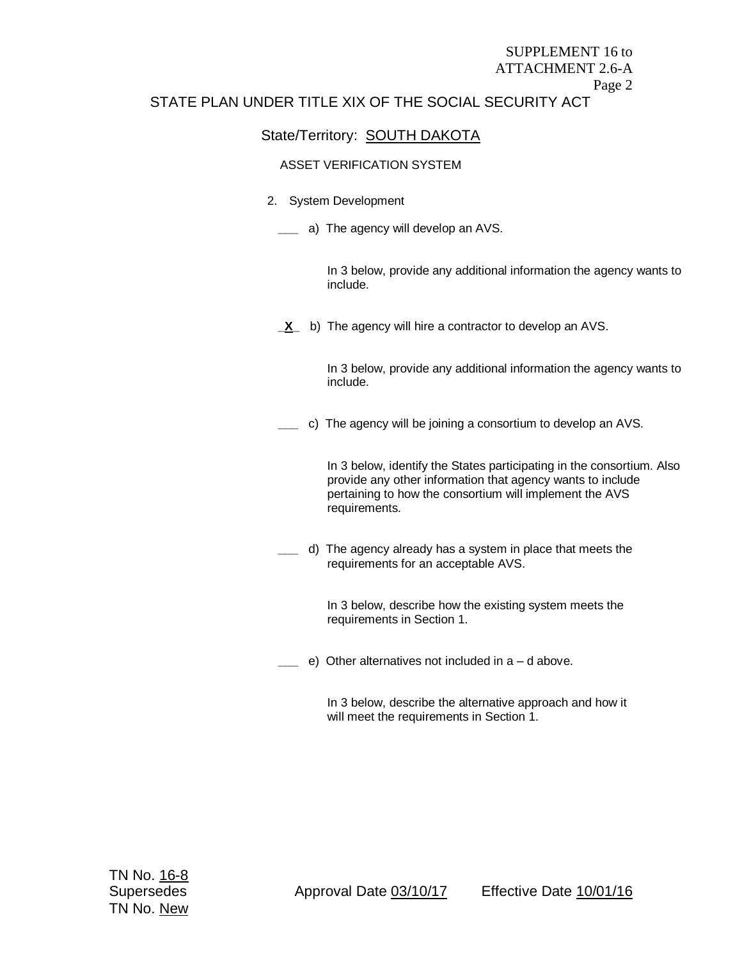## SUPPLEMENT 16 to ATTACHMENT 2.6-A Page 2 STATE PLAN UNDER TITLE XIX OF THE SOCIAL SECURITY ACT

## State/Territory: **SOUTH DAKOTA**

## ASSET VERIFICATION SYSTEM

#### 2. System Development

**\_\_\_** a) The agency will develop an AVS.

In 3 below, provide any additional information the agency wants to include.

**<u>X</u>** b) The agency will hire a contractor to develop an AVS.

In 3 below, provide any additional information the agency wants to include.

**\_\_\_** c) The agency will be joining a consortium to develop an AVS.

In 3 below, identify the States participating in the consortium. Also provide any other information that agency wants to include pertaining to how the consortium will implement the AVS requirements.

**\_\_\_** d) The agency already has a system in place that meets the requirements for an acceptable AVS.

> In 3 below, describe how the existing system meets the requirements in Section 1.

**\_\_\_** e) Other alternatives not included in a – d above.

In 3 below, describe the alternative approach and how it will meet the requirements in Section 1.